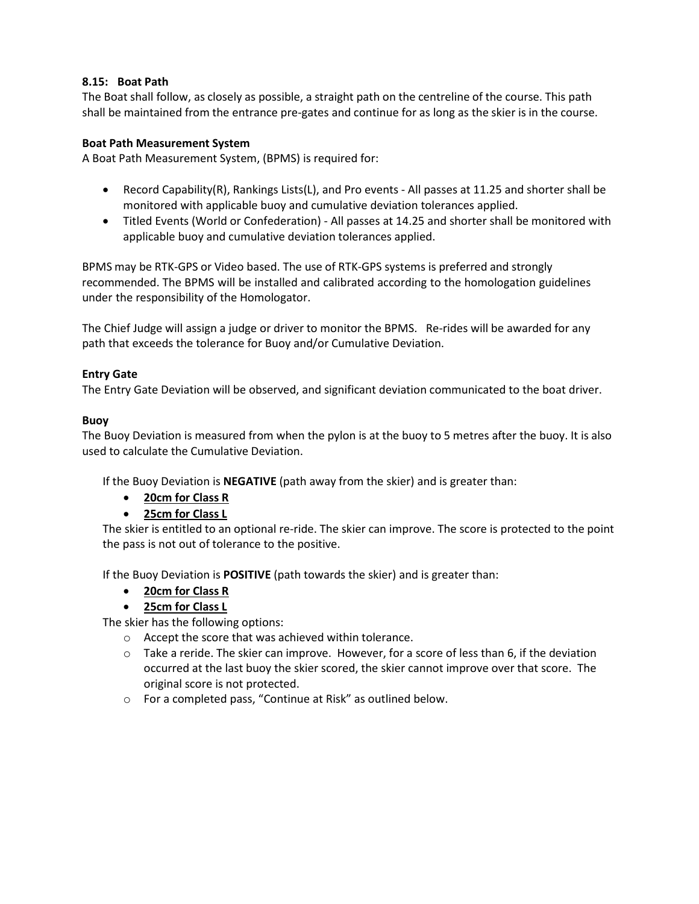# **8.15: Boat Path**

The Boat shall follow, as closely as possible, a straight path on the centreline of the course. This path shall be maintained from the entrance pre-gates and continue for as long as the skier is in the course.

## **Boat Path Measurement System**

A Boat Path Measurement System, (BPMS) is required for:

- Record Capability(R), Rankings Lists(L), and Pro events All passes at 11.25 and shorter shall be monitored with applicable buoy and cumulative deviation tolerances applied.
- Titled Events (World or Confederation) All passes at 14.25 and shorter shall be monitored with applicable buoy and cumulative deviation tolerances applied.

BPMS may be RTK-GPS or Video based. The use of RTK-GPS systems is preferred and strongly recommended. The BPMS will be installed and calibrated according to the homologation guidelines under the responsibility of the Homologator.

The Chief Judge will assign a judge or driver to monitor the BPMS. Re-rides will be awarded for any path that exceeds the tolerance for Buoy and/or Cumulative Deviation.

# **Entry Gate**

The Entry Gate Deviation will be observed, and significant deviation communicated to the boat driver.

## **Buoy**

The Buoy Deviation is measured from when the pylon is at the buoy to 5 metres after the buoy. It is also used to calculate the Cumulative Deviation.

If the Buoy Deviation is **NEGATIVE** (path away from the skier) and is greater than:

- **20cm for Class R**
- **25cm for Class L**

The skier is entitled to an optional re-ride. The skier can improve. The score is protected to the point the pass is not out of tolerance to the positive.

If the Buoy Deviation is **POSITIVE** (path towards the skier) and is greater than:

- **20cm for Class R**
- **25cm for Class L**

The skier has the following options:

- o Accept the score that was achieved within tolerance.
- $\circ$  Take a reride. The skier can improve. However, for a score of less than 6, if the deviation occurred at the last buoy the skier scored, the skier cannot improve over that score. The original score is not protected.
- o For a completed pass, "Continue at Risk" as outlined below.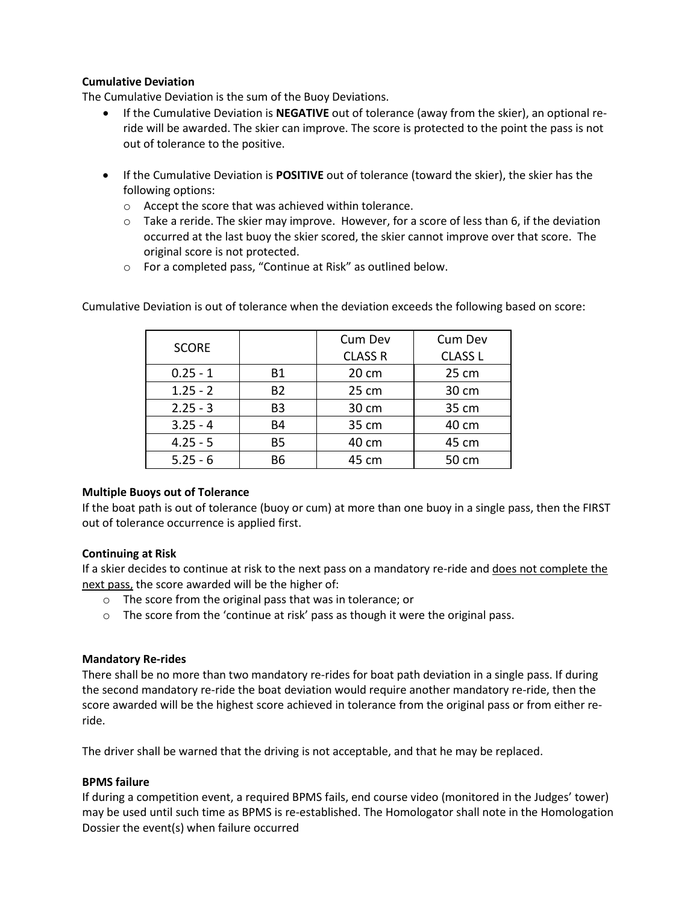# **Cumulative Deviation**

The Cumulative Deviation is the sum of the Buoy Deviations.

- If the Cumulative Deviation is **NEGATIVE** out of tolerance (away from the skier), an optional reride will be awarded. The skier can improve. The score is protected to the point the pass is not out of tolerance to the positive.
- If the Cumulative Deviation is **POSITIVE** out of tolerance (toward the skier), the skier has the following options:
	- o Accept the score that was achieved within tolerance.
	- $\circ$  Take a reride. The skier may improve. However, for a score of less than 6, if the deviation occurred at the last buoy the skier scored, the skier cannot improve over that score. The original score is not protected.
	- o For a completed pass, "Continue at Risk" as outlined below.

| <b>SCORE</b> |                | Cum Dev        | Cum Dev        |
|--------------|----------------|----------------|----------------|
|              |                | <b>CLASS R</b> | <b>CLASS L</b> |
| $0.25 - 1$   | <b>B1</b>      | 20 cm          | 25 cm          |
| $1.25 - 2$   | <b>B2</b>      | 25 cm          | 30 cm          |
| $2.25 - 3$   | B <sub>3</sub> | 30 cm          | 35 cm          |
| $3.25 - 4$   | <b>B4</b>      | 35 cm          | 40 cm          |
| $4.25 - 5$   | <b>B5</b>      | 40 cm          | 45 cm          |
| $5.25 - 6$   | B6             | 45 cm          | 50 cm          |

Cumulative Deviation is out of tolerance when the deviation exceeds the following based on score:

# **Multiple Buoys out of Tolerance**

If the boat path is out of tolerance (buoy or cum) at more than one buoy in a single pass, then the FIRST out of tolerance occurrence is applied first.

## **Continuing at Risk**

If a skier decides to continue at risk to the next pass on a mandatory re-ride and does not complete the next pass, the score awarded will be the higher of:

- o The score from the original pass that was in tolerance; or
- o The score from the 'continue at risk' pass as though it were the original pass.

## **Mandatory Re-rides**

There shall be no more than two mandatory re-rides for boat path deviation in a single pass. If during the second mandatory re-ride the boat deviation would require another mandatory re-ride, then the score awarded will be the highest score achieved in tolerance from the original pass or from either reride.

The driver shall be warned that the driving is not acceptable, and that he may be replaced.

# **BPMS failure**

If during a competition event, a required BPMS fails, end course video (monitored in the Judges' tower) may be used until such time as BPMS is re-established. The Homologator shall note in the Homologation Dossier the event(s) when failure occurred